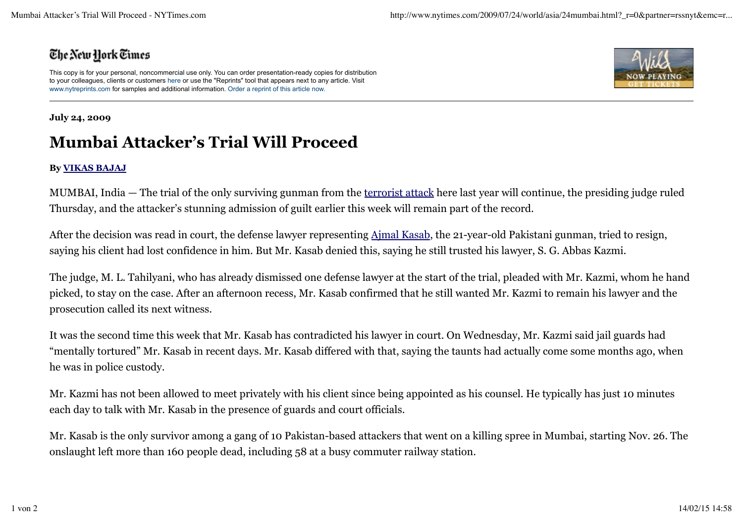## The New Hork Times

This copy is for your personal, noncommercial use only. You can order presentation-ready copies for distribution to your colleagues, clients or customers here or use the "Reprints" tool that appears next to any article. Visit www.nytreprints.com for samples and additional information. Order a reprint of this article now.



## **July 24, 2009**

## **Mumbai Attacker's Trial Will Proceed**

## **By VIKAS BAJAJ**

MUMBAI, India — The trial of the only surviving gunman from the terrorist attack here last year will continue, the presiding judge ruled Thursday, and the attacker's stunning admission of guilt earlier this week will remain part of the record.

After the decision was read in court, the defense lawyer representing Ajmal Kasab, the 21-year-old Pakistani gunman, tried to resign, saying his client had lost confidence in him. But Mr. Kasab denied this, saying he still trusted his lawyer, S. G. Abbas Kazmi.

The judge, M. L. Tahilyani, who has already dismissed one defense lawyer at the start of the trial, pleaded with Mr. Kazmi, whom he hand picked, to stay on the case. After an afternoon recess, Mr. Kasab confirmed that he still wanted Mr. Kazmi to remain his lawyer and the prosecution called its next witness.

It was the second time this week that Mr. Kasab has contradicted his lawyer in court. On Wednesday, Mr. Kazmi said jail guards had "mentally tortured" Mr. Kasab in recent days. Mr. Kasab differed with that, saying the taunts had actually come some months ago, when he was in police custody.

Mr. Kazmi has not been allowed to meet privately with his client since being appointed as his counsel. He typically has just 10 minutes each day to talk with Mr. Kasab in the presence of guards and court officials.

Mr. Kasab is the only survivor among a gang of 10 Pakistan-based attackers that went on a killing spree in Mumbai, starting Nov. 26. The onslaught left more than 160 people dead, including 58 at a busy commuter railway station.